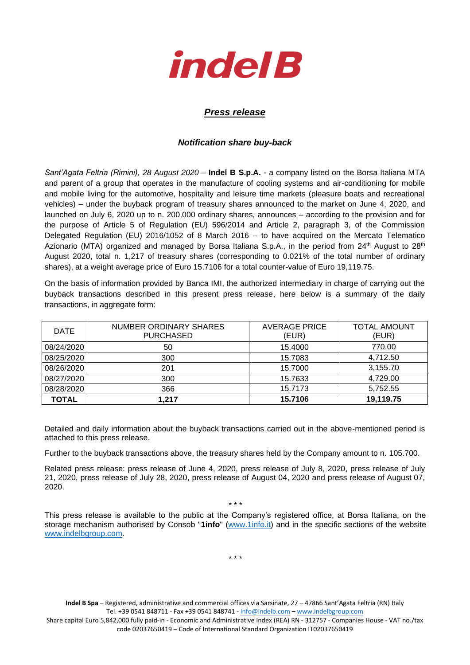

## *Press release*

## *Notification share buy-back*

*Sant'Agata Feltria (Rimini), 28 August 2020* – **Indel B S.p.A.** - a company listed on the Borsa Italiana MTA and parent of a group that operates in the manufacture of cooling systems and air-conditioning for mobile and mobile living for the automotive, hospitality and leisure time markets (pleasure boats and recreational vehicles) – under the buyback program of treasury shares announced to the market on June 4, 2020, and launched on July 6, 2020 up to n. 200,000 ordinary shares, announces – according to the provision and for the purpose of Article 5 of Regulation (EU) 596/2014 and Article 2, paragraph 3, of the Commission Delegated Regulation (EU) 2016/1052 of 8 March 2016 – to have acquired on the Mercato Telematico Azionario (MTA) organized and managed by Borsa Italiana S.p.A., in the period from  $24<sup>th</sup>$  August to  $28<sup>th</sup>$ August 2020, total n. 1,217 of treasury shares (corresponding to 0.021% of the total number of ordinary shares), at a weight average price of Euro 15.7106 for a total counter-value of Euro 19,119.75.

On the basis of information provided by Banca IMI, the authorized intermediary in charge of carrying out the buyback transactions described in this present press release, here below is a summary of the daily transactions, in aggregate form:

| <b>DATE</b>  | NUMBER ORDINARY SHARES<br><b>PURCHASED</b> | <b>AVERAGE PRICE</b><br>(EUR) | <b>TOTAL AMOUNT</b><br>(EUR) |
|--------------|--------------------------------------------|-------------------------------|------------------------------|
| 08/24/2020   | 50                                         | 15.4000                       | 770.00                       |
| 08/25/2020   | 300                                        | 15.7083                       | 4,712.50                     |
| 08/26/2020   | 201                                        | 15.7000                       | 3,155.70                     |
| 08/27/2020   | 300                                        | 15.7633                       | 4,729.00                     |
| 08/28/2020   | 366                                        | 15.7173                       | 5,752.55                     |
| <b>TOTAL</b> | 1.217                                      | 15.7106                       | 19,119.75                    |

Detailed and daily information about the buyback transactions carried out in the above-mentioned period is attached to this press release.

Further to the buyback transactions above, the treasury shares held by the Company amount to n. 105.700.

Related press release: press release of June 4, 2020, press release of July 8, 2020, press release of July 21, 2020, press release of July 28, 2020, press release of August 04, 2020 and press release of August 07, 2020.

\* \* \*

This press release is available to the public at the Company's registered office, at Borsa Italiana, on the storage mechanism authorised by Consob "**1info**" [\(www.1info.it\)](file:///C:/Users/ddelietovollaro/AppData/Local/Microsoft/Windows/INetCache/Content.Outlook/T87B94UR/www.1info.it) and in the specific sections of the website [www.indelbgroup.com.](http://www.indelbgroup.com/)

\* \* \*

**Indel B Spa** – Registered, administrative and commercial offices via Sarsinate, 27 – 47866 Sant'Agata Feltria (RN) Italy Tel. +39 0541 848711 - Fax +39 0541 848741 - [info@indelb.com](mailto:info@indelb.com) – [www.indelbgroup.com](http://www.indelbgroup.com/) Share capital Euro 5,842,000 fully paid-in - Economic and Administrative Index (REA) RN - 312757 - Companies House - VAT no./tax code 02037650419 – Code of International Standard Organization IT02037650419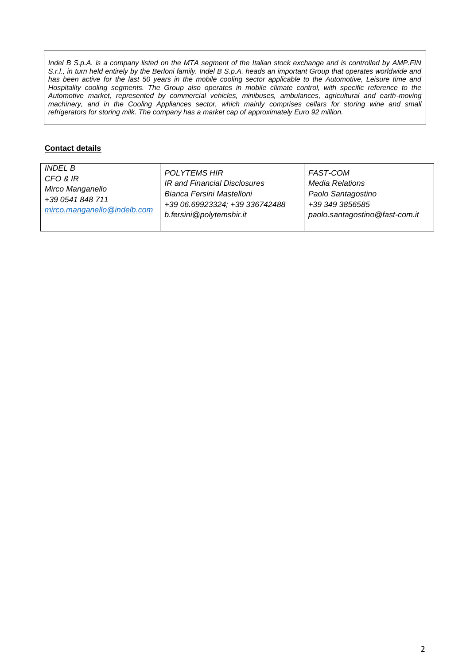*Indel B S.p.A. is a company listed on the MTA segment of the Italian stock exchange and is controlled by AMP.FIN S.r.l., in turn held entirely by the Berloni family. Indel B S.p.A. heads an important Group that operates worldwide and* has been active for the last 50 years in the mobile cooling sector applicable to the Automotive, Leisure time and Hospitality cooling segments. The Group also operates in mobile climate control, with specific reference to the *Automotive market, represented by commercial vehicles, minibuses, ambulances, agricultural and earth-moving machinery, and in the Cooling Appliances sector, which mainly comprises cellars for storing wine and small refrigerators for storing milk. The company has a market cap of approximately Euro 92 million.*

## **Contact details**

| <i>INDEL B</i>              | POLYTEMS HIR                   | FAST-COM                       |
|-----------------------------|--------------------------------|--------------------------------|
| CFO & IR                    | IR and Financial Disclosures   | Media Relations                |
| Mirco Manganello            | Bianca Fersini Mastelloni      | Paolo Santagostino             |
| +39 0541 848 711            | +39 06.69923324; +39 336742488 | +39 349 3856585                |
| mirco.manganello@indelb.com | b.fersini@polytemshir.it       | paolo.santagostino@fast-com.it |